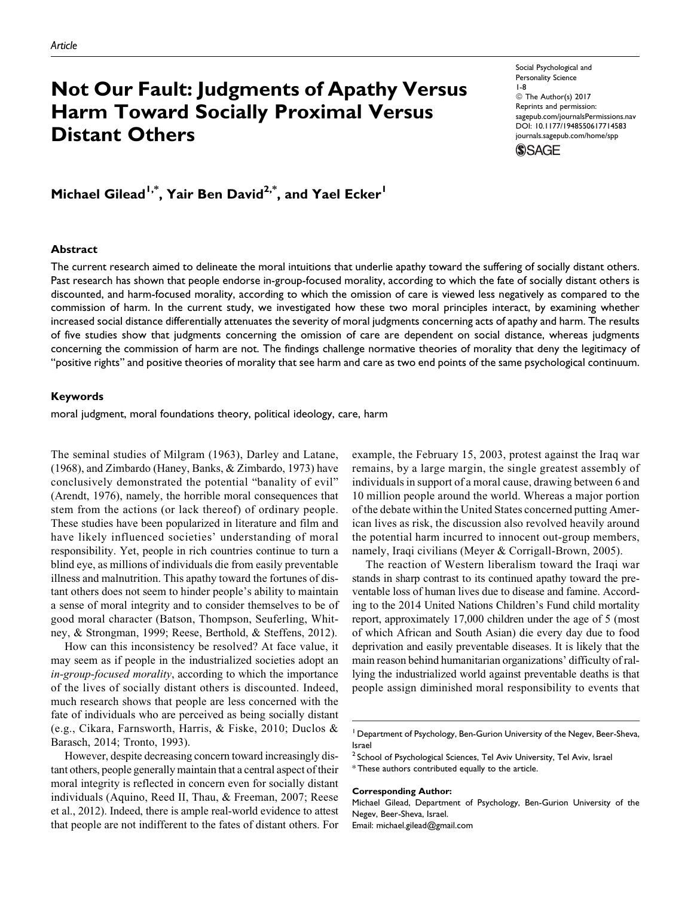# Not Our Fault: Judgments of Apathy Versus Harm Toward Socially Proximal Versus Distant Others

Social Psychological and Personality Science 1-8 © The Author(s) 2017 Reprints and permission: [sagepub.com/journalsPermissions.nav](https://us.sagepub.com/en-us/journals-permissions) [DOI: 10.1177/1948550617714583](https://doi.org/10.1177/1948550617714583) [journals.sagepub.com/home/spp](http://journals.sagepub.com/home/spp)



Michael Gilead<sup>1,\*</sup>, Yair Ben David<sup>2,\*</sup>, and Yael Ecker<sup>1</sup>

### Abstract

The current research aimed to delineate the moral intuitions that underlie apathy toward the suffering of socially distant others. Past research has shown that people endorse in-group-focused morality, according to which the fate of socially distant others is discounted, and harm-focused morality, according to which the omission of care is viewed less negatively as compared to the commission of harm. In the current study, we investigated how these two moral principles interact, by examining whether increased social distance differentially attenuates the severity of moral judgments concerning acts of apathy and harm. The results of five studies show that judgments concerning the omission of care are dependent on social distance, whereas judgments concerning the commission of harm are not. The findings challenge normative theories of morality that deny the legitimacy of "positive rights" and positive theories of morality that see harm and care as two end points of the same psychological continuum.

### Keywords

moral judgment, moral foundations theory, political ideology, care, harm

The seminal studies of Milgram (1963), Darley and Latane, (1968), and Zimbardo (Haney, Banks, & Zimbardo, 1973) have conclusively demonstrated the potential "banality of evil" (Arendt, 1976), namely, the horrible moral consequences that stem from the actions (or lack thereof) of ordinary people. These studies have been popularized in literature and film and have likely influenced societies' understanding of moral responsibility. Yet, people in rich countries continue to turn a blind eye, as millions of individuals die from easily preventable illness and malnutrition. This apathy toward the fortunes of distant others does not seem to hinder people's ability to maintain a sense of moral integrity and to consider themselves to be of good moral character (Batson, Thompson, Seuferling, Whitney, & Strongman, 1999; Reese, Berthold, & Steffens, 2012).

How can this inconsistency be resolved? At face value, it may seem as if people in the industrialized societies adopt an in-group-focused morality, according to which the importance of the lives of socially distant others is discounted. Indeed, much research shows that people are less concerned with the fate of individuals who are perceived as being socially distant (e.g., Cikara, Farnsworth, Harris, & Fiske, 2010; Duclos & Barasch, 2014; Tronto, 1993).

However, despite decreasing concern toward increasingly distant others, people generally maintain that a central aspect of their moral integrity is reflected in concern even for socially distant individuals (Aquino, Reed II, Thau, & Freeman, 2007; Reese et al., 2012). Indeed, there is ample real-world evidence to attest that people are not indifferent to the fates of distant others. For example, the February 15, 2003, protest against the Iraq war remains, by a large margin, the single greatest assembly of individuals in support of a moral cause, drawing between 6 and 10 million people around the world. Whereas a major portion of the debate within the United States concerned putting American lives as risk, the discussion also revolved heavily around the potential harm incurred to innocent out-group members, namely, Iraqi civilians (Meyer & Corrigall-Brown, 2005).

The reaction of Western liberalism toward the Iraqi war stands in sharp contrast to its continued apathy toward the preventable loss of human lives due to disease and famine. According to the 2014 United Nations Children's Fund child mortality report, approximately 17,000 children under the age of 5 (most of which African and South Asian) die every day due to food deprivation and easily preventable diseases. It is likely that the main reason behind humanitarian organizations' difficulty of rallying the industrialized world against preventable deaths is that people assign diminished moral responsibility to events that

#### Corresponding Author:

Michael Gilead, Department of Psychology, Ben-Gurion University of the Negev, Beer-Sheva, Israel.

Email: michael.gilead@gmail.com

<sup>&</sup>lt;sup>1</sup> Department of Psychology, Ben-Gurion University of the Negev, Beer-Sheva, Israel

<sup>&</sup>lt;sup>2</sup> School of Psychological Sciences, Tel Aviv University, Tel Aviv, Israel \* These authors contributed equally to the article.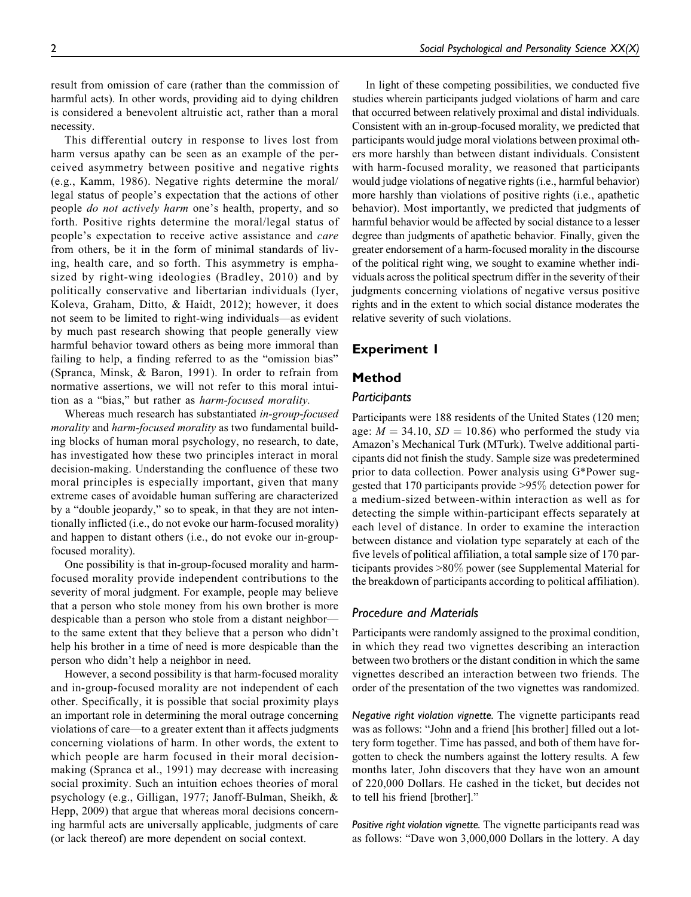result from omission of care (rather than the commission of harmful acts). In other words, providing aid to dying children is considered a benevolent altruistic act, rather than a moral necessity.

This differential outcry in response to lives lost from harm versus apathy can be seen as an example of the perceived asymmetry between positive and negative rights (e.g., Kamm, 1986). Negative rights determine the moral/ legal status of people's expectation that the actions of other people do not actively harm one's health, property, and so forth. Positive rights determine the moral/legal status of people's expectation to receive active assistance and care from others, be it in the form of minimal standards of living, health care, and so forth. This asymmetry is emphasized by right-wing ideologies (Bradley, 2010) and by politically conservative and libertarian individuals (Iyer, Koleva, Graham, Ditto, & Haidt, 2012); however, it does not seem to be limited to right-wing individuals—as evident by much past research showing that people generally view harmful behavior toward others as being more immoral than failing to help, a finding referred to as the "omission bias" (Spranca, Minsk, & Baron, 1991). In order to refrain from normative assertions, we will not refer to this moral intuition as a "bias," but rather as harm-focused morality.

Whereas much research has substantiated in-group-focused morality and harm-focused morality as two fundamental building blocks of human moral psychology, no research, to date, has investigated how these two principles interact in moral decision-making. Understanding the confluence of these two moral principles is especially important, given that many extreme cases of avoidable human suffering are characterized by a "double jeopardy," so to speak, in that they are not intentionally inflicted (i.e., do not evoke our harm-focused morality) and happen to distant others (i.e., do not evoke our in-groupfocused morality).

One possibility is that in-group-focused morality and harmfocused morality provide independent contributions to the severity of moral judgment. For example, people may believe that a person who stole money from his own brother is more despicable than a person who stole from a distant neighbor to the same extent that they believe that a person who didn't help his brother in a time of need is more despicable than the person who didn't help a neighbor in need.

However, a second possibility is that harm-focused morality and in-group-focused morality are not independent of each other. Specifically, it is possible that social proximity plays an important role in determining the moral outrage concerning violations of care—to a greater extent than it affects judgments concerning violations of harm. In other words, the extent to which people are harm focused in their moral decisionmaking (Spranca et al., 1991) may decrease with increasing social proximity. Such an intuition echoes theories of moral psychology (e.g., Gilligan, 1977; Janoff-Bulman, Sheikh, & Hepp, 2009) that argue that whereas moral decisions concerning harmful acts are universally applicable, judgments of care (or lack thereof) are more dependent on social context.

In light of these competing possibilities, we conducted five studies wherein participants judged violations of harm and care that occurred between relatively proximal and distal individuals. Consistent with an in-group-focused morality, we predicted that participants would judge moral violations between proximal others more harshly than between distant individuals. Consistent with harm-focused morality, we reasoned that participants would judge violations of negative rights (i.e., harmful behavior) more harshly than violations of positive rights (i.e., apathetic behavior). Most importantly, we predicted that judgments of harmful behavior would be affected by social distance to a lesser degree than judgments of apathetic behavior. Finally, given the greater endorsement of a harm-focused morality in the discourse of the political right wing, we sought to examine whether individuals across the political spectrum differ in the severity of their judgments concerning violations of negative versus positive rights and in the extent to which social distance moderates the relative severity of such violations.

# Experiment 1

### Method

### **Participants**

Participants were 188 residents of the United States (120 men; age:  $M = 34.10$ ,  $SD = 10.86$ ) who performed the study via Amazon's Mechanical Turk (MTurk). Twelve additional participants did not finish the study. Sample size was predetermined prior to data collection. Power analysis using G\*Power suggested that 170 participants provide >95% detection power for a medium-sized between-within interaction as well as for detecting the simple within-participant effects separately at each level of distance. In order to examine the interaction between distance and violation type separately at each of the five levels of political affiliation, a total sample size of 170 participants provides >80% power (see Supplemental Material for the breakdown of participants according to political affiliation).

#### Procedure and Materials

Participants were randomly assigned to the proximal condition, in which they read two vignettes describing an interaction between two brothers or the distant condition in which the same vignettes described an interaction between two friends. The order of the presentation of the two vignettes was randomized.

Negative right violation vignette. The vignette participants read was as follows: "John and a friend [his brother] filled out a lottery form together. Time has passed, and both of them have forgotten to check the numbers against the lottery results. A few months later, John discovers that they have won an amount of 220,000 Dollars. He cashed in the ticket, but decides not to tell his friend [brother]."

Positive right violation vignette. The vignette participants read was as follows: "Dave won 3,000,000 Dollars in the lottery. A day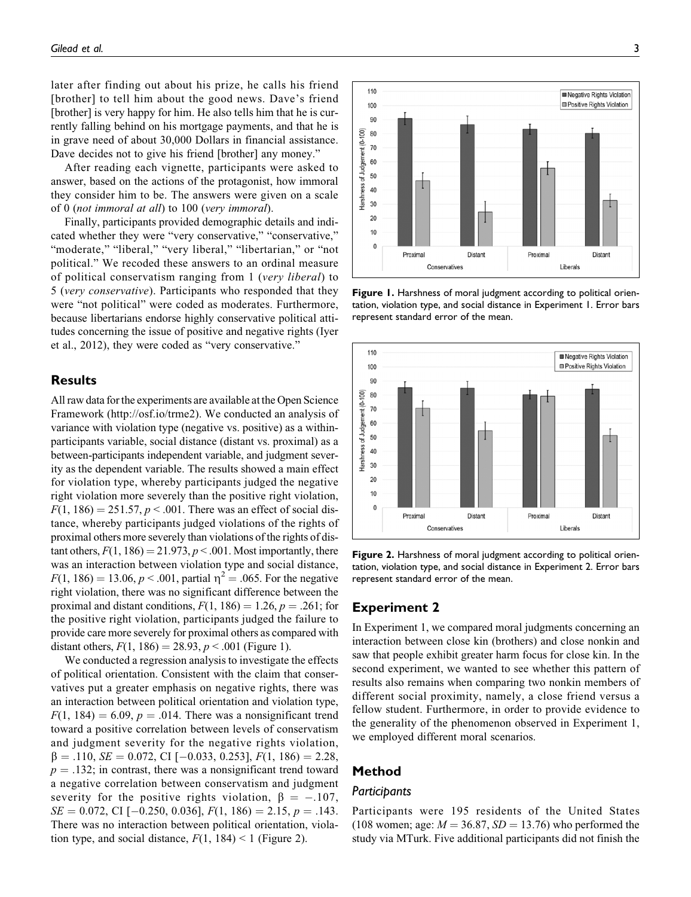later after finding out about his prize, he calls his friend [brother] to tell him about the good news. Dave's friend [brother] is very happy for him. He also tells him that he is currently falling behind on his mortgage payments, and that he is in grave need of about 30,000 Dollars in financial assistance. Dave decides not to give his friend [brother] any money."

After reading each vignette, participants were asked to answer, based on the actions of the protagonist, how immoral they consider him to be. The answers were given on a scale of 0 (not immoral at all) to 100 (very immoral).

Finally, participants provided demographic details and indicated whether they were "very conservative," "conservative," "moderate," "liberal," "very liberal," "libertarian," or "not political." We recoded these answers to an ordinal measure of political conservatism ranging from 1 (very liberal) to 5 (very conservative). Participants who responded that they were "not political" were coded as moderates. Furthermore, because libertarians endorse highly conservative political attitudes concerning the issue of positive and negative rights (Iyer et al., 2012), they were coded as "very conservative."

# Results

All raw data for the experiments are available at the Open Science Framework (<http://osf.io/trme2>). We conducted an analysis of variance with violation type (negative vs. positive) as a withinparticipants variable, social distance (distant vs. proximal) as a between-participants independent variable, and judgment severity as the dependent variable. The results showed a main effect for violation type, whereby participants judged the negative right violation more severely than the positive right violation,  $F(1, 186) = 251.57, p < .001$ . There was an effect of social distance, whereby participants judged violations of the rights of proximal others more severely than violations of the rights of distant others,  $F(1, 186) = 21.973$ ,  $p < .001$ . Most importantly, there was an interaction between violation type and social distance,  $F(1, 186) = 13.06, p < .001$ , partial  $p^2 = .065$ . For the negative right violation, there was no significant difference between the proximal and distant conditions,  $F(1, 186) = 1.26$ ,  $p = .261$ ; for the positive right violation, participants judged the failure to provide care more severely for proximal others as compared with distant others,  $F(1, 186) = 28.93$ ,  $p < .001$  (Figure 1).

We conducted a regression analysis to investigate the effects of political orientation. Consistent with the claim that conservatives put a greater emphasis on negative rights, there was an interaction between political orientation and violation type,  $F(1, 184) = 6.09, p = .014$ . There was a nonsignificant trend toward a positive correlation between levels of conservatism and judgment severity for the negative rights violation,  $\beta = .110$ ,  $SE = 0.072$ , CI [-0.033, 0.253],  $F(1, 186) = 2.28$ ,  $p = .132$ ; in contrast, there was a nonsignificant trend toward a negative correlation between conservatism and judgment severity for the positive rights violation,  $\beta = -.107$ ,  $SE = 0.072$ , CI [ $-0.250$ , 0.036],  $F(1, 186) = 2.15$ ,  $p = .143$ . There was no interaction between political orientation, violation type, and social distance,  $F(1, 184) < 1$  (Figure 2).



Figure 1. Harshness of moral judgment according to political orientation, violation type, and social distance in Experiment 1. Error bars represent standard error of the mean.



Figure 2. Harshness of moral judgment according to political orientation, violation type, and social distance in Experiment 2. Error bars represent standard error of the mean.

### Experiment 2

In Experiment 1, we compared moral judgments concerning an interaction between close kin (brothers) and close nonkin and saw that people exhibit greater harm focus for close kin. In the second experiment, we wanted to see whether this pattern of results also remains when comparing two nonkin members of different social proximity, namely, a close friend versus a fellow student. Furthermore, in order to provide evidence to the generality of the phenomenon observed in Experiment 1, we employed different moral scenarios.

# Method

### Participants

Participants were 195 residents of the United States (108 women; age:  $M = 36.87$ ,  $SD = 13.76$ ) who performed the study via MTurk. Five additional participants did not finish the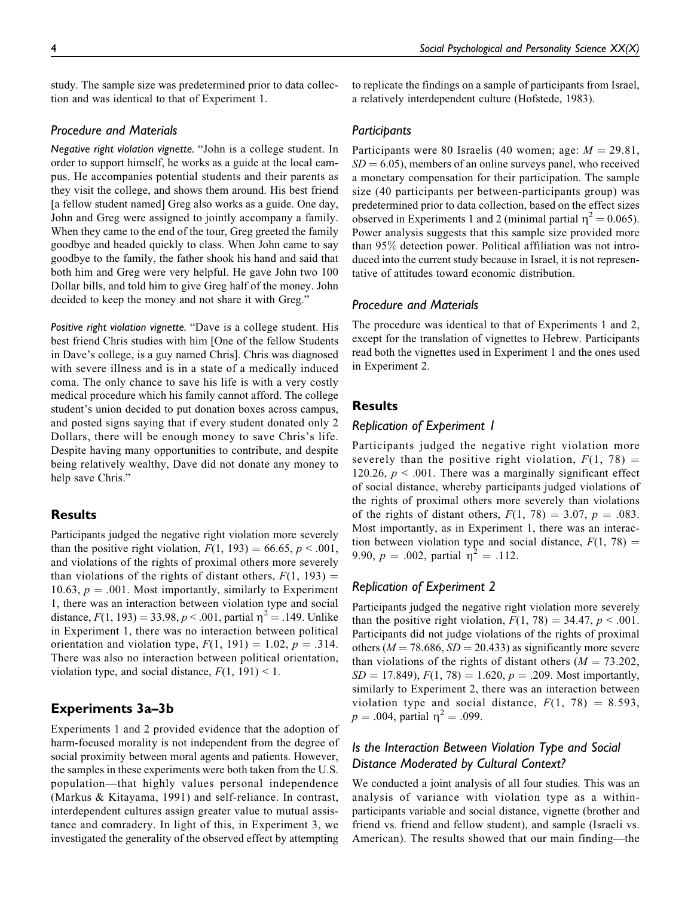study. The sample size was predetermined prior to data collection and was identical to that of Experiment 1.

#### Procedure and Materials

Negative right violation vignette. "John is a college student. In order to support himself, he works as a guide at the local campus. He accompanies potential students and their parents as they visit the college, and shows them around. His best friend [a fellow student named] Greg also works as a guide. One day, John and Greg were assigned to jointly accompany a family. When they came to the end of the tour, Greg greeted the family goodbye and headed quickly to class. When John came to say goodbye to the family, the father shook his hand and said that both him and Greg were very helpful. He gave John two 100 Dollar bills, and told him to give Greg half of the money. John decided to keep the money and not share it with Greg."

Positive right violation vignette. "Dave is a college student. His best friend Chris studies with him [One of the fellow Students in Dave's college, is a guy named Chris]. Chris was diagnosed with severe illness and is in a state of a medically induced coma. The only chance to save his life is with a very costly medical procedure which his family cannot afford. The college student's union decided to put donation boxes across campus, and posted signs saying that if every student donated only 2 Dollars, there will be enough money to save Chris's life. Despite having many opportunities to contribute, and despite being relatively wealthy, Dave did not donate any money to help save Chris."

# **Results**

Participants judged the negative right violation more severely than the positive right violation,  $F(1, 193) = 66.65$ ,  $p < .001$ , and violations of the rights of proximal others more severely than violations of the rights of distant others,  $F(1, 193) =$ 10.63,  $p = .001$ . Most importantly, similarly to Experiment 1, there was an interaction between violation type and social distance,  $F(1, 193) = 33.98, p < .001$ , partial  $p^2 = .149$ . Unlike in Experiment 1, there was no interaction between political orientation and violation type,  $F(1, 191) = 1.02$ ,  $p = .314$ . There was also no interaction between political orientation, violation type, and social distance,  $F(1, 191) < 1$ .

# Experiments 3a–3b

Experiments 1 and 2 provided evidence that the adoption of harm-focused morality is not independent from the degree of social proximity between moral agents and patients. However, the samples in these experiments were both taken from the U.S. population—that highly values personal independence (Markus & Kitayama, 1991) and self-reliance. In contrast, interdependent cultures assign greater value to mutual assistance and comradery. In light of this, in Experiment 3, we investigated the generality of the observed effect by attempting

to replicate the findings on a sample of participants from Israel, a relatively interdependent culture (Hofstede, 1983).

#### Participants

Participants were 80 Israelis (40 women; age:  $M = 29.81$ ,  $SD = 6.05$ , members of an online surveys panel, who received a monetary compensation for their participation. The sample size (40 participants per between-participants group) was predetermined prior to data collection, based on the effect sizes observed in Experiments 1 and 2 (minimal partial  $\eta^2 = 0.065$ ). Power analysis suggests that this sample size provided more than 95% detection power. Political affiliation was not introduced into the current study because in Israel, it is not representative of attitudes toward economic distribution.

### Procedure and Materials

The procedure was identical to that of Experiments 1 and 2, except for the translation of vignettes to Hebrew. Participants read both the vignettes used in Experiment 1 and the ones used in Experiment 2.

### Results

### Replication of Experiment 1

Participants judged the negative right violation more severely than the positive right violation,  $F(1, 78) =$ 120.26,  $p < .001$ . There was a marginally significant effect of social distance, whereby participants judged violations of the rights of proximal others more severely than violations of the rights of distant others,  $F(1, 78) = 3.07$ ,  $p = .083$ . Most importantly, as in Experiment 1, there was an interaction between violation type and social distance,  $F(1, 78) =$ 9.90,  $p = .002$ , partial  $\eta^2 = .112$ .

# Replication of Experiment 2

Participants judged the negative right violation more severely than the positive right violation,  $F(1, 78) = 34.47$ ,  $p < .001$ . Participants did not judge violations of the rights of proximal others ( $M = 78.686$ ,  $SD = 20.433$ ) as significantly more severe than violations of the rights of distant others ( $M = 73.202$ ,  $SD = 17.849$ ,  $F(1, 78) = 1.620$ ,  $p = .209$ . Most importantly, similarly to Experiment 2, there was an interaction between violation type and social distance,  $F(1, 78) = 8.593$ ,  $p = .004$ , partial  $\eta^2 = .099$ .

# Is the Interaction Between Violation Type and Social Distance Moderated by Cultural Context?

We conducted a joint analysis of all four studies. This was an analysis of variance with violation type as a withinparticipants variable and social distance, vignette (brother and friend vs. friend and fellow student), and sample (Israeli vs. American). The results showed that our main finding—the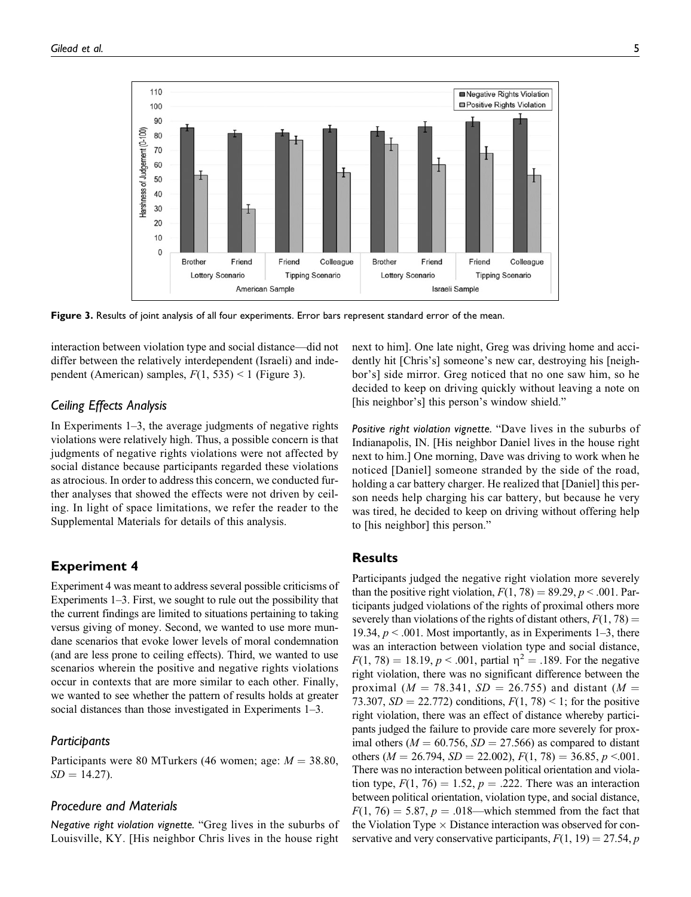

Figure 3. Results of joint analysis of all four experiments. Error bars represent standard error of the mean.

interaction between violation type and social distance—did not differ between the relatively interdependent (Israeli) and independent (American) samples,  $F(1, 535) < 1$  (Figure 3).

### Ceiling Effects Analysis

In Experiments 1–3, the average judgments of negative rights violations were relatively high. Thus, a possible concern is that judgments of negative rights violations were not affected by social distance because participants regarded these violations as atrocious. In order to address this concern, we conducted further analyses that showed the effects were not driven by ceiling. In light of space limitations, we refer the reader to the Supplemental Materials for details of this analysis.

### Experiment 4

Experiment 4 was meant to address several possible criticisms of Experiments 1–3. First, we sought to rule out the possibility that the current findings are limited to situations pertaining to taking versus giving of money. Second, we wanted to use more mundane scenarios that evoke lower levels of moral condemnation (and are less prone to ceiling effects). Third, we wanted to use scenarios wherein the positive and negative rights violations occur in contexts that are more similar to each other. Finally, we wanted to see whether the pattern of results holds at greater social distances than those investigated in Experiments 1–3.

### **Participants**

Participants were 80 MTurkers (46 women; age:  $M = 38.80$ ,  $SD = 14.27$ ).

### Procedure and Materials

Negative right violation vignette. "Greg lives in the suburbs of Louisville, KY. [His neighbor Chris lives in the house right

next to him]. One late night, Greg was driving home and accidently hit [Chris's] someone's new car, destroying his [neighbor's] side mirror. Greg noticed that no one saw him, so he decided to keep on driving quickly without leaving a note on [his neighbor's] this person's window shield."

Positive right violation vignette. "Dave lives in the suburbs of Indianapolis, IN. [His neighbor Daniel lives in the house right next to him.] One morning, Dave was driving to work when he noticed [Daniel] someone stranded by the side of the road, holding a car battery charger. He realized that [Daniel] this person needs help charging his car battery, but because he very was tired, he decided to keep on driving without offering help to [his neighbor] this person."

# **Results**

Participants judged the negative right violation more severely than the positive right violation,  $F(1, 78) = 89.29$ ,  $p < .001$ . Participants judged violations of the rights of proximal others more severely than violations of the rights of distant others,  $F(1, 78) =$ 19.34,  $p < .001$ . Most importantly, as in Experiments 1–3, there was an interaction between violation type and social distance,  $F(1, 78) = 18.19, p < .001$ , partial  $p^2 = .189$ . For the negative right violation, there was no significant difference between the proximal ( $M = 78.341$ ,  $SD = 26.755$ ) and distant ( $M =$ 73.307,  $SD = 22.772$ ) conditions,  $F(1, 78) < 1$ ; for the positive right violation, there was an effect of distance whereby participants judged the failure to provide care more severely for proximal others ( $M = 60.756$ ,  $SD = 27.566$ ) as compared to distant others ( $M = 26.794$ ,  $SD = 22.002$ ),  $F(1, 78) = 36.85$ ,  $p < .001$ . There was no interaction between political orientation and violation type,  $F(1, 76) = 1.52$ ,  $p = .222$ . There was an interaction between political orientation, violation type, and social distance,  $F(1, 76) = 5.87$ ,  $p = .018$ —which stemmed from the fact that the Violation Type  $\times$  Distance interaction was observed for conservative and very conservative participants,  $F(1, 19) = 27.54$ , p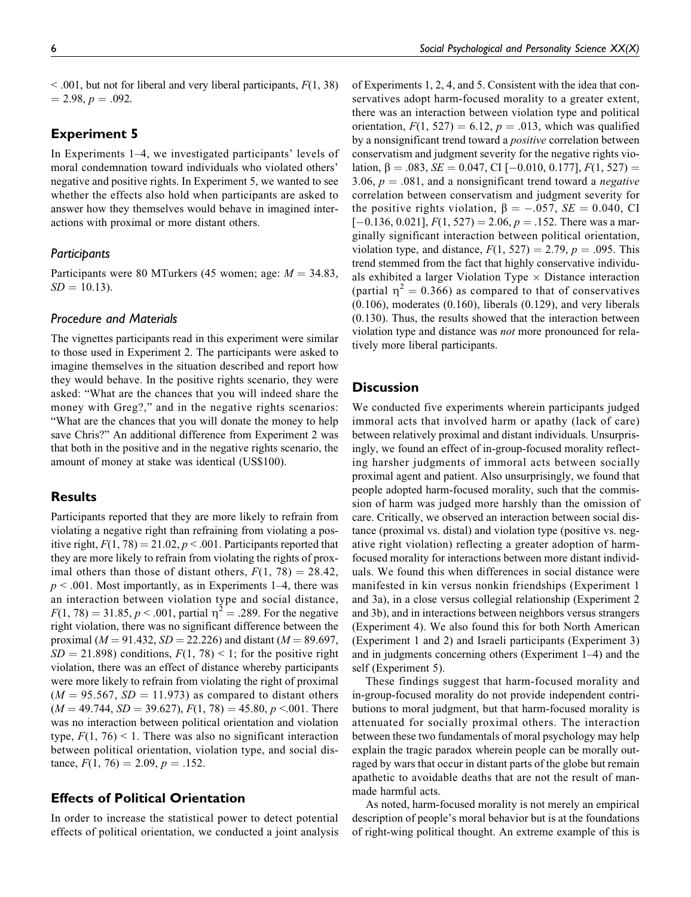$\leq$  .001, but not for liberal and very liberal participants,  $F(1, 38)$  $= 2.98, p = .092.$ 

# Experiment 5

In Experiments 1–4, we investigated participants' levels of moral condemnation toward individuals who violated others' negative and positive rights. In Experiment 5, we wanted to see whether the effects also hold when participants are asked to answer how they themselves would behave in imagined interactions with proximal or more distant others.

### **Participants**

Participants were 80 MTurkers (45 women; age:  $M = 34.83$ ,  $SD = 10.13$ .

# Procedure and Materials

The vignettes participants read in this experiment were similar to those used in Experiment 2. The participants were asked to imagine themselves in the situation described and report how they would behave. In the positive rights scenario, they were asked: "What are the chances that you will indeed share the money with Greg?," and in the negative rights scenarios: "What are the chances that you will donate the money to help save Chris?" An additional difference from Experiment 2 was that both in the positive and in the negative rights scenario, the amount of money at stake was identical (US\$100).

### **Results**

Participants reported that they are more likely to refrain from violating a negative right than refraining from violating a positive right,  $F(1, 78) = 21.02$ ,  $p < .001$ . Participants reported that they are more likely to refrain from violating the rights of proximal others than those of distant others,  $F(1, 78) = 28.42$ ,  $p < .001$ . Most importantly, as in Experiments 1–4, there was an interaction between violation type and social distance,  $F(1, 78) = 31.85, p < .001$ , partial  $p^2 = .289$ . For the negative right violation, there was no significant difference between the proximal ( $M = 91.432$ ,  $SD = 22.226$ ) and distant ( $M = 89.697$ ,  $SD = 21.898$ ) conditions,  $F(1, 78) < 1$ ; for the positive right violation, there was an effect of distance whereby participants were more likely to refrain from violating the right of proximal  $(M = 95.567, SD = 11.973)$  as compared to distant others  $(M = 49.744, SD = 39.627), F(1, 78) = 45.80, p < .001$ . There was no interaction between political orientation and violation type,  $F(1, 76)$  < 1. There was also no significant interaction between political orientation, violation type, and social distance,  $F(1, 76) = 2.09$ ,  $p = .152$ .

# Effects of Political Orientation

In order to increase the statistical power to detect potential effects of political orientation, we conducted a joint analysis

of Experiments 1, 2, 4, and 5. Consistent with the idea that conservatives adopt harm-focused morality to a greater extent, there was an interaction between violation type and political orientation,  $F(1, 527) = 6.12$ ,  $p = .013$ , which was qualified by a nonsignificant trend toward a *positive* correlation between conservatism and judgment severity for the negative rights violation,  $\beta = .083$ ,  $SE = 0.047$ , CI [-0.010, 0.177],  $F(1, 527) =$ 3.06,  $p = .081$ , and a nonsignificant trend toward a *negative* correlation between conservatism and judgment severity for the positive rights violation,  $\beta = -.057$ ,  $SE = 0.040$ , CI  $[-0.136, 0.021], F(1, 527) = 2.06, p = .152$ . There was a marginally significant interaction between political orientation, violation type, and distance,  $F(1, 527) = 2.79$ ,  $p = .095$ . This trend stemmed from the fact that highly conservative individuals exhibited a larger Violation Type  $\times$  Distance interaction (partial  $\eta^2 = 0.366$ ) as compared to that of conservatives (0.106), moderates (0.160), liberals (0.129), and very liberals (0.130). Thus, the results showed that the interaction between violation type and distance was not more pronounced for relatively more liberal participants.

### **Discussion**

We conducted five experiments wherein participants judged immoral acts that involved harm or apathy (lack of care) between relatively proximal and distant individuals. Unsurprisingly, we found an effect of in-group-focused morality reflecting harsher judgments of immoral acts between socially proximal agent and patient. Also unsurprisingly, we found that people adopted harm-focused morality, such that the commission of harm was judged more harshly than the omission of care. Critically, we observed an interaction between social distance (proximal vs. distal) and violation type (positive vs. negative right violation) reflecting a greater adoption of harmfocused morality for interactions between more distant individuals. We found this when differences in social distance were manifested in kin versus nonkin friendships (Experiment 1 and 3a), in a close versus collegial relationship (Experiment 2 and 3b), and in interactions between neighbors versus strangers (Experiment 4). We also found this for both North American (Experiment 1 and 2) and Israeli participants (Experiment 3) and in judgments concerning others (Experiment 1–4) and the self (Experiment 5).

These findings suggest that harm-focused morality and in-group-focused morality do not provide independent contributions to moral judgment, but that harm-focused morality is attenuated for socially proximal others. The interaction between these two fundamentals of moral psychology may help explain the tragic paradox wherein people can be morally outraged by wars that occur in distant parts of the globe but remain apathetic to avoidable deaths that are not the result of manmade harmful acts.

As noted, harm-focused morality is not merely an empirical description of people's moral behavior but is at the foundations of right-wing political thought. An extreme example of this is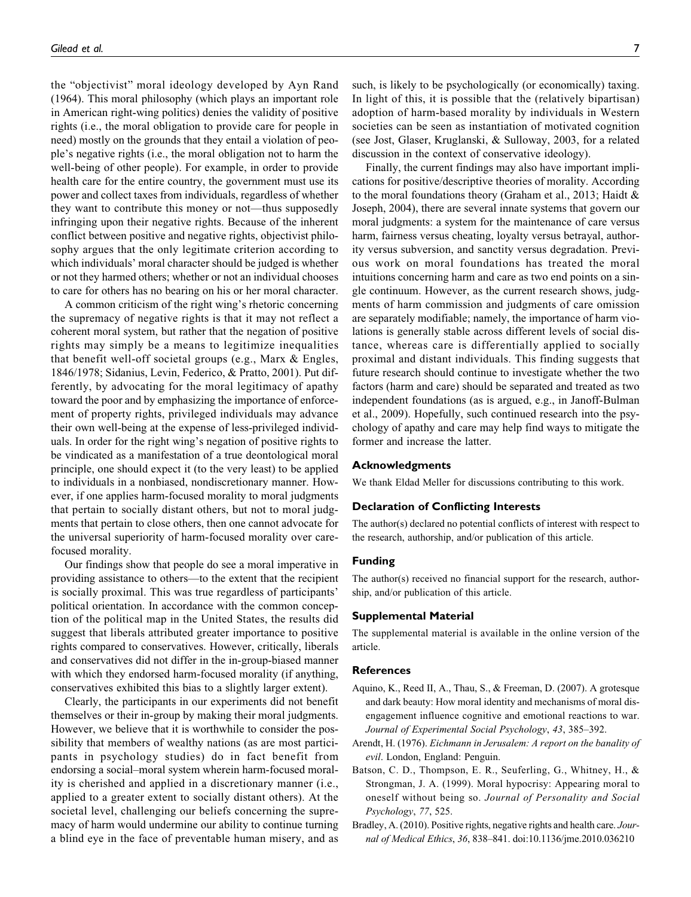the "objectivist" moral ideology developed by Ayn Rand (1964). This moral philosophy (which plays an important role in American right-wing politics) denies the validity of positive rights (i.e., the moral obligation to provide care for people in need) mostly on the grounds that they entail a violation of people's negative rights (i.e., the moral obligation not to harm the well-being of other people). For example, in order to provide health care for the entire country, the government must use its power and collect taxes from individuals, regardless of whether they want to contribute this money or not—thus supposedly infringing upon their negative rights. Because of the inherent conflict between positive and negative rights, objectivist philosophy argues that the only legitimate criterion according to which individuals' moral character should be judged is whether or not they harmed others; whether or not an individual chooses to care for others has no bearing on his or her moral character.

A common criticism of the right wing's rhetoric concerning the supremacy of negative rights is that it may not reflect a coherent moral system, but rather that the negation of positive rights may simply be a means to legitimize inequalities that benefit well-off societal groups (e.g., Marx & Engles, 1846/1978; Sidanius, Levin, Federico, & Pratto, 2001). Put differently, by advocating for the moral legitimacy of apathy toward the poor and by emphasizing the importance of enforcement of property rights, privileged individuals may advance their own well-being at the expense of less-privileged individuals. In order for the right wing's negation of positive rights to be vindicated as a manifestation of a true deontological moral principle, one should expect it (to the very least) to be applied to individuals in a nonbiased, nondiscretionary manner. However, if one applies harm-focused morality to moral judgments that pertain to socially distant others, but not to moral judgments that pertain to close others, then one cannot advocate for the universal superiority of harm-focused morality over carefocused morality.

Our findings show that people do see a moral imperative in providing assistance to others—to the extent that the recipient is socially proximal. This was true regardless of participants' political orientation. In accordance with the common conception of the political map in the United States, the results did suggest that liberals attributed greater importance to positive rights compared to conservatives. However, critically, liberals and conservatives did not differ in the in-group-biased manner with which they endorsed harm-focused morality (if anything, conservatives exhibited this bias to a slightly larger extent).

Clearly, the participants in our experiments did not benefit themselves or their in-group by making their moral judgments. However, we believe that it is worthwhile to consider the possibility that members of wealthy nations (as are most participants in psychology studies) do in fact benefit from endorsing a social–moral system wherein harm-focused morality is cherished and applied in a discretionary manner (i.e., applied to a greater extent to socially distant others). At the societal level, challenging our beliefs concerning the supremacy of harm would undermine our ability to continue turning a blind eye in the face of preventable human misery, and as such, is likely to be psychologically (or economically) taxing. In light of this, it is possible that the (relatively bipartisan) adoption of harm-based morality by individuals in Western societies can be seen as instantiation of motivated cognition (see Jost, Glaser, Kruglanski, & Sulloway, 2003, for a related discussion in the context of conservative ideology).

Finally, the current findings may also have important implications for positive/descriptive theories of morality. According to the moral foundations theory (Graham et al., 2013; Haidt & Joseph, 2004), there are several innate systems that govern our moral judgments: a system for the maintenance of care versus harm, fairness versus cheating, loyalty versus betrayal, authority versus subversion, and sanctity versus degradation. Previous work on moral foundations has treated the moral intuitions concerning harm and care as two end points on a single continuum. However, as the current research shows, judgments of harm commission and judgments of care omission are separately modifiable; namely, the importance of harm violations is generally stable across different levels of social distance, whereas care is differentially applied to socially proximal and distant individuals. This finding suggests that future research should continue to investigate whether the two factors (harm and care) should be separated and treated as two independent foundations (as is argued, e.g., in Janoff-Bulman et al., 2009). Hopefully, such continued research into the psychology of apathy and care may help find ways to mitigate the former and increase the latter.

#### Acknowledgments

We thank Eldad Meller for discussions contributing to this work.

#### Declaration of Conflicting Interests

The author(s) declared no potential conflicts of interest with respect to the research, authorship, and/or publication of this article.

#### Funding

The author(s) received no financial support for the research, authorship, and/or publication of this article.

#### Supplemental Material

The supplemental material is available in the online version of the article.

#### References

- Aquino, K., Reed II, A., Thau, S., & Freeman, D. (2007). A grotesque and dark beauty: How moral identity and mechanisms of moral disengagement influence cognitive and emotional reactions to war. Journal of Experimental Social Psychology, 43, 385–392.
- Arendt, H. (1976). Eichmann in Jerusalem: A report on the banality of evil. London, England: Penguin.
- Batson, C. D., Thompson, E. R., Seuferling, G., Whitney, H., & Strongman, J. A. (1999). Moral hypocrisy: Appearing moral to oneself without being so. Journal of Personality and Social Psychology, 77, 525.
- Bradley, A. (2010). Positive rights, negative rights and health care. Journal of Medical Ethics, 36, 838–841. doi:10.1136/jme.2010.036210